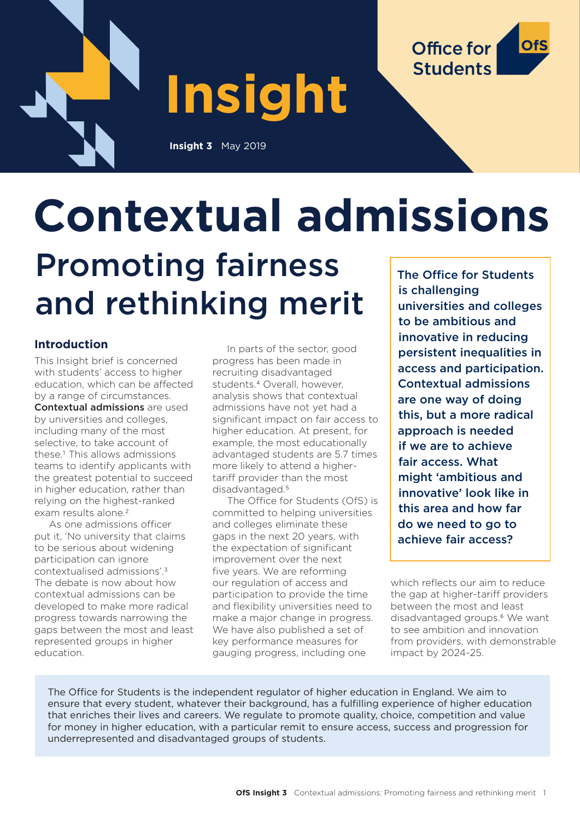

**Insight**

**Insight 3** May 2019



# **Contextual admissions**

# Promoting fairness and rethinking merit

# **Introduction**

This Insight brief is concerned with students' access to higher education, which can be affected by a range of circumstances. Contextual admissions are used by universities and colleges, including many of the most selective, to take account of these.1 This allows admissions teams to identify applicants with the greatest potential to succeed in higher education, rather than relying on the highest-ranked exam results alone.<sup>2</sup>

As one admissions officer put it, 'No university that claims to be serious about widening participation can ignore contextualised admissions'.3 The debate is now about how contextual admissions can be developed to make more radical progress towards narrowing the gaps between the most and least represented groups in higher education.

In parts of the sector, good progress has been made in recruiting disadvantaged students.4 Overall, however, analysis shows that contextual admissions have not yet had a significant impact on fair access to higher education. At present, for example, the most educationally advantaged students are 5.7 times more likely to attend a highertariff provider than the most disadvantaged.<sup>5</sup>

The Office for Students (OfS) is committed to helping universities and colleges eliminate these gaps in the next 20 years, with the expectation of significant improvement over the next five years. We are reforming our regulation of access and participation to provide the time and flexibility universities need to make a major change in progress. We have also published a set of key performance measures for gauging progress, including one

The Office for Students is challenging universities and colleges to be ambitious and innovative in reducing persistent inequalities in access and participation. Contextual admissions are one way of doing this, but a more radical approach is needed if we are to achieve fair access. What might 'ambitious and innovative' look like in this area and how far do we need to go to achieve fair access?

which reflects our aim to reduce the gap at higher-tariff providers between the most and least disadvantaged groups.<sup>6</sup> We want to see ambition and innovation from providers, with demonstrable impact by 2024-25.

The Office for Students is the independent regulator of higher education in England. We aim to ensure that every student, whatever their background, has a fulfilling experience of higher education that enriches their lives and careers. We regulate to promote quality, choice, competition and value for money in higher education, with a particular remit to ensure access, success and progression for underrepresented and disadvantaged groups of students.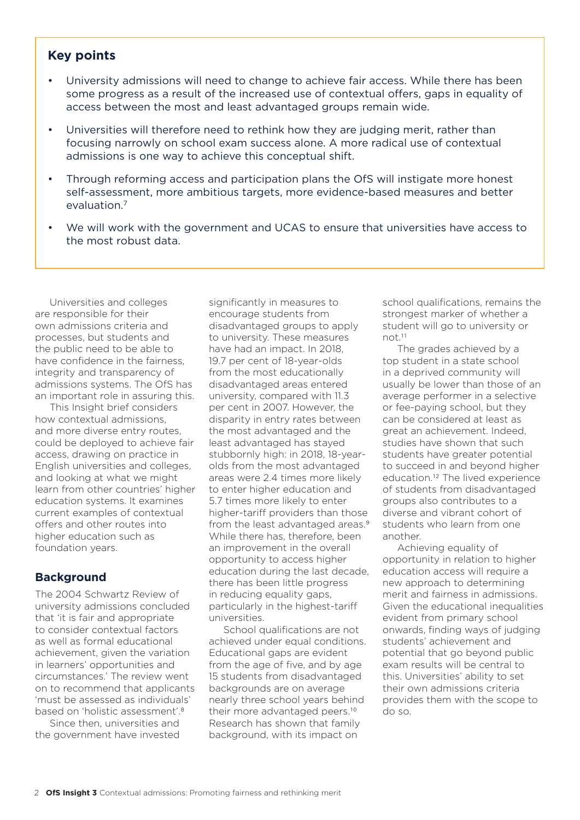#### **Key points**

- University admissions will need to change to achieve fair access. While there has been some progress as a result of the increased use of contextual offers, gaps in equality of access between the most and least advantaged groups remain wide.
- Universities will therefore need to rethink how they are judging merit, rather than focusing narrowly on school exam success alone. A more radical use of contextual admissions is one way to achieve this conceptual shift.
- Through reforming access and participation plans the OfS will instigate more honest self-assessment, more ambitious targets, more evidence-based measures and better evaluation.7
- We will work with the government and UCAS to ensure that universities have access to the most robust data.

Universities and colleges are responsible for their own admissions criteria and processes, but students and the public need to be able to have confidence in the fairness, integrity and transparency of admissions systems. The OfS has an important role in assuring this.

This Insight brief considers how contextual admissions, and more diverse entry routes, could be deployed to achieve fair access, drawing on practice in English universities and colleges, and looking at what we might learn from other countries' higher education systems. It examines current examples of contextual offers and other routes into higher education such as foundation years.

#### **Background**

The 2004 Schwartz Review of university admissions concluded that 'it is fair and appropriate to consider contextual factors as well as formal educational achievement, given the variation in learners' opportunities and circumstances.' The review went on to recommend that applicants 'must be assessed as individuals' based on 'holistic assessment'.8

Since then, universities and the government have invested

significantly in measures to encourage students from disadvantaged groups to apply to university. These measures have had an impact. In 2018, 19.7 per cent of 18-year-olds from the most educationally disadvantaged areas entered university, compared with 11.3 per cent in 2007. However, the disparity in entry rates between the most advantaged and the least advantaged has stayed stubbornly high: in 2018, 18-yearolds from the most advantaged areas were 2.4 times more likely to enter higher education and 5.7 times more likely to enter higher-tariff providers than those from the least advantaged areas.<sup>9</sup> While there has, therefore, been an improvement in the overall opportunity to access higher education during the last decade, there has been little progress in reducing equality gaps, particularly in the highest-tariff universities.

School qualifications are not achieved under equal conditions. Educational gaps are evident from the age of five, and by age 15 students from disadvantaged backgrounds are on average nearly three school years behind their more advantaged peers.<sup>10</sup> Research has shown that family background, with its impact on

school qualifications, remains the strongest marker of whether a student will go to university or not.11

The grades achieved by a top student in a state school in a deprived community will usually be lower than those of an average performer in a selective or fee-paying school, but they can be considered at least as great an achievement. Indeed, studies have shown that such students have greater potential to succeed in and beyond higher education.12 The lived experience of students from disadvantaged groups also contributes to a diverse and vibrant cohort of students who learn from one another.

Achieving equality of opportunity in relation to higher education access will require a new approach to determining merit and fairness in admissions. Given the educational inequalities evident from primary school onwards, finding ways of judging students' achievement and potential that go beyond public exam results will be central to this. Universities' ability to set their own admissions criteria provides them with the scope to do so.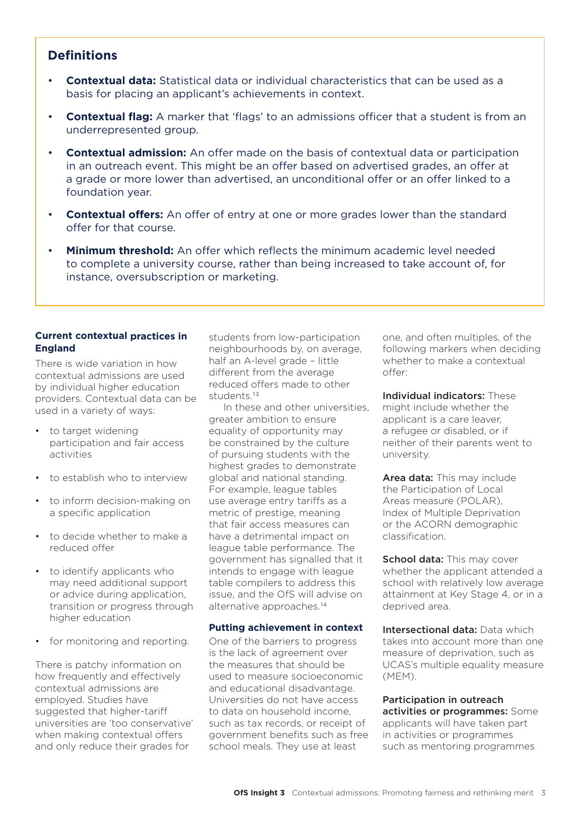# **Definitions**

- **Contextual data:** Statistical data or individual characteristics that can be used as a basis for placing an applicant's achievements in context.
- **Contextual flag:** A marker that 'flags' to an admissions officer that a student is from an underrepresented group.
- • **Contextual admission:** An offer made on the basis of contextual data or participation in an outreach event. This might be an offer based on advertised grades, an offer at a grade or more lower than advertised, an unconditional offer or an offer linked to a foundation year.
- **Contextual offers:** An offer of entry at one or more grades lower than the standard offer for that course.
- **Minimum threshold:** An offer which reflects the minimum academic level needed to complete a university course, rather than being increased to take account of, for instance, oversubscription or marketing.

#### **Current contextual practices in England**

There is wide variation in how contextual admissions are used by individual higher education providers. Contextual data can be used in a variety of ways:

- to target widening participation and fair access activities
- to establish who to interview
- to inform decision-making on a specific application
- to decide whether to make a reduced offer
- to identify applicants who may need additional support or advice during application, transition or progress through higher education
- for monitoring and reporting.

There is patchy information on how frequently and effectively contextual admissions are employed. Studies have suggested that higher-tariff universities are 'too conservative' when making contextual offers and only reduce their grades for

students from low-participation neighbourhoods by, on average, half an A-level grade – little different from the average reduced offers made to other students.13

In these and other universities, greater ambition to ensure equality of opportunity may be constrained by the culture of pursuing students with the highest grades to demonstrate global and national standing. For example, league tables use average entry tariffs as a metric of prestige, meaning that fair access measures can have a detrimental impact on league table performance. The government has signalled that it intends to engage with league table compilers to address this issue, and the OfS will advise on alternative approaches.14

#### **Putting achievement in context**

One of the barriers to progress is the lack of agreement over the measures that should be used to measure socioeconomic and educational disadvantage. Universities do not have access to data on household income, such as tax records, or receipt of government benefits such as free school meals. They use at least

one, and often multiples, of the following markers when deciding whether to make a contextual offer:

Individual indicators: These might include whether the applicant is a care leaver, a refugee or disabled, or if neither of their parents went to university.

Area data: This may include the Participation of Local Areas measure (POLAR), Index of Multiple Deprivation or the ACORN demographic classification.

School data: This may cover whether the applicant attended a school with relatively low average attainment at Key Stage 4, or in a deprived area.

Intersectional data: Data which takes into account more than one measure of deprivation, such as UCAS's multiple equality measure (MEM).

#### Participation in outreach activities or programmes: Some applicants will have taken part in activities or programmes such as mentoring programmes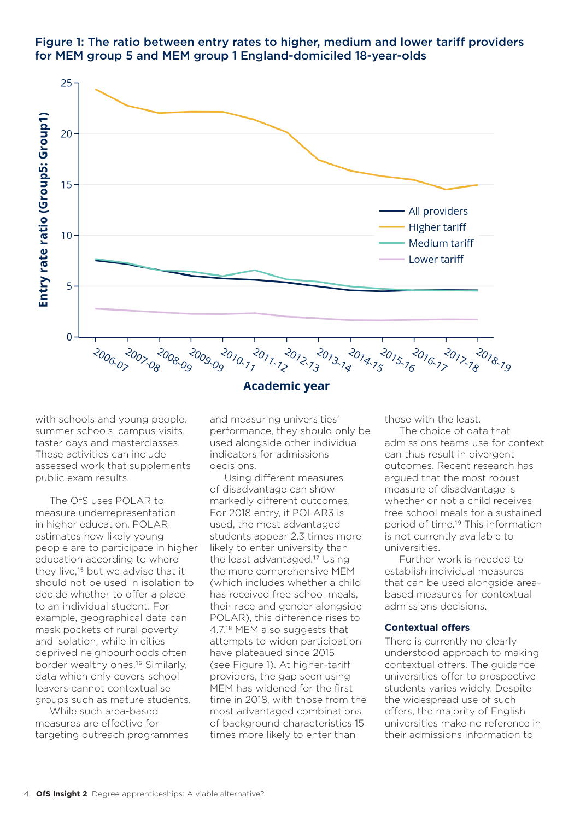

# Figure 1: The ratio between entry rates to higher, medium and lower tariff providers for MEM group 5 and MEM group 1 England-domiciled 18-year-olds

with schools and young people, summer schools, campus visits, taster days and masterclasses. These activities can include assessed work that supplements public exam results.

The OfS uses POLAR to measure underrepresentation in higher education. POLAR estimates how likely young people are to participate in higher education according to where they live,15 but we advise that it should not be used in isolation to decide whether to offer a place to an individual student. For example, geographical data can mask pockets of rural poverty and isolation, while in cities deprived neighbourhoods often border wealthy ones.16 Similarly, data which only covers school leavers cannot contextualise groups such as mature students.

While such area-based measures are effective for targeting outreach programmes

and measuring universities' performance, they should only be used alongside other individual indicators for admissions decisions.

Using different measures of disadvantage can show markedly different outcomes. For 2018 entry, if POLAR3 is used, the most advantaged students appear 2.3 times more likely to enter university than the least advantaged.17 Using the more comprehensive MEM (which includes whether a child has received free school meals, their race and gender alongside POLAR), this difference rises to 4.7.18 MEM also suggests that attempts to widen participation have plateaued since 2015 (see Figure 1). At higher-tariff providers, the gap seen using MEM has widened for the first time in 2018, with those from the most advantaged combinations of background characteristics 15 times more likely to enter than

those with the least.

The choice of data that admissions teams use for context can thus result in divergent outcomes. Recent research has argued that the most robust measure of disadvantage is whether or not a child receives free school meals for a sustained period of time.19 This information is not currently available to universities.

Further work is needed to establish individual measures that can be used alongside areabased measures for contextual admissions decisions.

#### **Contextual offers**

There is currently no clearly understood approach to making contextual offers. The guidance universities offer to prospective students varies widely. Despite the widespread use of such offers, the majority of English universities make no reference in their admissions information to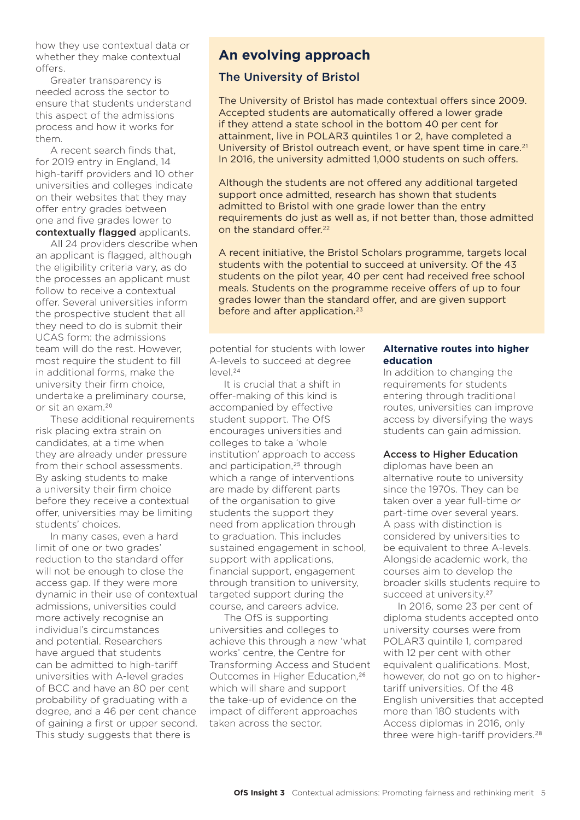how they use contextual data or whether they make contextual offers.

Greater transparency is needed across the sector to ensure that students understand this aspect of the admissions process and how it works for them.

A recent search finds that, for 2019 entry in England, 14 high-tariff providers and 10 other universities and colleges indicate on their websites that they may offer entry grades between one and five grades lower to contextually flagged applicants.

All 24 providers describe when an applicant is flagged, although the eligibility criteria vary, as do the processes an applicant must follow to receive a contextual offer. Several universities inform the prospective student that all they need to do is submit their UCAS form: the admissions team will do the rest. However, most require the student to fill in additional forms, make the university their firm choice, undertake a preliminary course, or sit an exam.20

These additional requirements risk placing extra strain on candidates, at a time when they are already under pressure from their school assessments. By asking students to make a university their firm choice before they receive a contextual offer, universities may be limiting students' choices.

In many cases, even a hard limit of one or two grades' reduction to the standard offer will not be enough to close the access gap. If they were more dynamic in their use of contextual admissions, universities could more actively recognise an individual's circumstances and potential. Researchers have argued that students can be admitted to high-tariff universities with A-level grades of BCC and have an 80 per cent probability of graduating with a degree, and a 46 per cent chance of gaining a first or upper second. This study suggests that there is

# **An evolving approach**

#### The University of Bristol

The University of Bristol has made contextual offers since 2009. Accepted students are automatically offered a lower grade if they attend a state school in the bottom 40 per cent for attainment, live in POLAR3 quintiles 1 or 2, have completed a University of Bristol outreach event, or have spent time in care.<sup>21</sup> In 2016, the university admitted 1,000 students on such offers.

Although the students are not offered any additional targeted support once admitted, research has shown that students admitted to Bristol with one grade lower than the entry requirements do just as well as, if not better than, those admitted on the standard offer.<sup>22</sup>

A recent initiative, the Bristol Scholars programme, targets local students with the potential to succeed at university. Of the 43 students on the pilot year, 40 per cent had received free school meals. Students on the programme receive offers of up to four grades lower than the standard offer, and are given support before and after application.<sup>23</sup>

potential for students with lower A-levels to succeed at degree  $|eVho|^{24}$ 

It is crucial that a shift in offer-making of this kind is accompanied by effective student support. The OfS encourages universities and colleges to take a 'whole institution' approach to access and participation,<sup>25</sup> through which a range of interventions are made by different parts of the organisation to give students the support they need from application through to graduation. This includes sustained engagement in school, support with applications, financial support, engagement through transition to university, targeted support during the course, and careers advice.

The OfS is supporting universities and colleges to achieve this through a new 'what works' centre, the Centre for Transforming Access and Student Outcomes in Higher Education,<sup>26</sup> which will share and support the take-up of evidence on the impact of different approaches taken across the sector.

#### **Alternative routes into higher education**

In addition to changing the requirements for students entering through traditional routes, universities can improve access by diversifying the ways students can gain admission.

#### Access to Higher Education

diplomas have been an alternative route to university since the 1970s. They can be taken over a year full-time or part-time over several years. A pass with distinction is considered by universities to be equivalent to three A-levels. Alongside academic work, the courses aim to develop the broader skills students require to succeed at university.<sup>27</sup>

In 2016, some 23 per cent of diploma students accepted onto university courses were from POLAR3 quintile 1, compared with 12 per cent with other equivalent qualifications. Most, however, do not go on to highertariff universities. Of the 48 English universities that accepted more than 180 students with Access diplomas in 2016, only three were high-tariff providers.28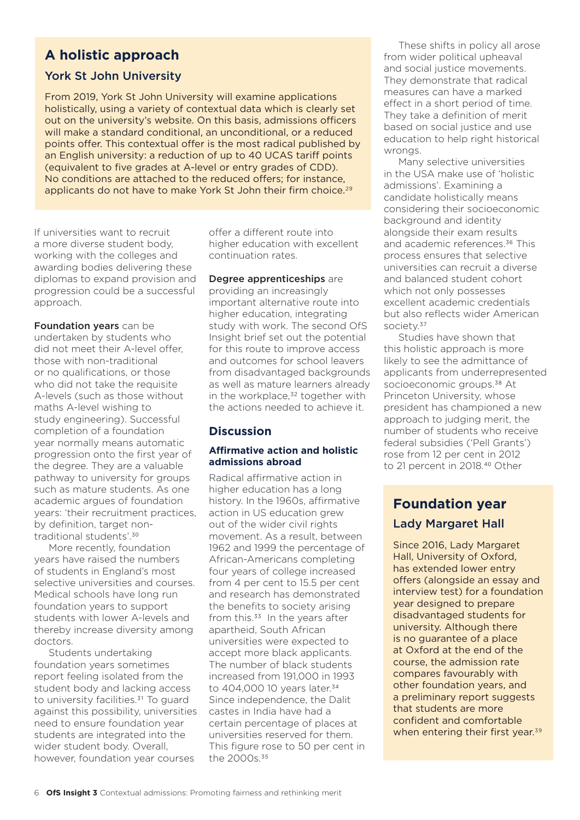# **A holistic approach**

# York St John University

From 2019, York St John University will examine applications holistically, using a variety of contextual data which is clearly set out on the university's website. On this basis, admissions officers will make a standard conditional, an unconditional, or a reduced points offer. This contextual offer is the most radical published by an English university: a reduction of up to 40 UCAS tariff points (equivalent to five grades at A-level or entry grades of CDD). No conditions are attached to the reduced offers; for instance, applicants do not have to make York St John their firm choice.<sup>29</sup>

If universities want to recruit a more diverse student body, working with the colleges and awarding bodies delivering these diplomas to expand provision and progression could be a successful approach.

Foundation years can be undertaken by students who did not meet their A-level offer, those with non-traditional or no qualifications, or those who did not take the requisite A-levels (such as those without maths A-level wishing to study engineering). Successful completion of a foundation year normally means automatic progression onto the first year of the degree. They are a valuable pathway to university for groups such as mature students. As one academic argues of foundation years: 'their recruitment practices, by definition, target nontraditional students'.30

More recently, foundation years have raised the numbers of students in England's most selective universities and courses. Medical schools have long run foundation years to support students with lower A-levels and thereby increase diversity among doctors.

Students undertaking foundation years sometimes report feeling isolated from the student body and lacking access to university facilities.<sup>31</sup> To guard against this possibility, universities need to ensure foundation year students are integrated into the wider student body. Overall, however, foundation year courses

offer a different route into higher education with excellent continuation rates.

#### Degree apprenticeships are

providing an increasingly important alternative route into higher education, integrating study with work. The second OfS Insight brief set out the potential for this route to improve access and outcomes for school leavers from disadvantaged backgrounds as well as mature learners already in the workplace,<sup>32</sup> together with the actions needed to achieve it.

# **Discussion**

#### **Affirmative action and holistic admissions abroad**

Radical affirmative action in higher education has a long history. In the 1960s, affirmative action in US education grew out of the wider civil rights movement. As a result, between 1962 and 1999 the percentage of African-Americans completing four years of college increased from 4 per cent to 15.5 per cent and research has demonstrated the benefits to society arising from this.<sup>33</sup> In the years after apartheid, South African universities were expected to accept more black applicants. The number of black students increased from 191,000 in 1993 to 404,000 10 years later.<sup>34</sup> Since independence, the Dalit castes in India have had a certain percentage of places at universities reserved for them. This figure rose to 50 per cent in the 2000s.35

These shifts in policy all arose from wider political upheaval and social justice movements. They demonstrate that radical measures can have a marked effect in a short period of time. They take a definition of merit based on social justice and use education to help right historical wrongs.

Many selective universities in the USA make use of 'holistic admissions'. Examining a candidate holistically means considering their socioeconomic background and identity alongside their exam results and academic references.36 This process ensures that selective universities can recruit a diverse and balanced student cohort which not only possesses excellent academic credentials but also reflects wider American society.37

Studies have shown that this holistic approach is more likely to see the admittance of applicants from underrepresented socioeconomic groups.<sup>38</sup> At Princeton University, whose president has championed a new approach to judging merit, the number of students who receive federal subsidies ('Pell Grants') rose from 12 per cent in 2012 to 21 percent in 2018.40 Other

# **Foundation year** Lady Margaret Hall

Since 2016, Lady Margaret Hall, University of Oxford, has extended lower entry offers (alongside an essay and interview test) for a foundation year designed to prepare disadvantaged students for university. Although there is no guarantee of a place at Oxford at the end of the course, the admission rate compares favourably with other foundation years, and a preliminary report suggests that students are more confident and comfortable when entering their first year.<sup>39</sup>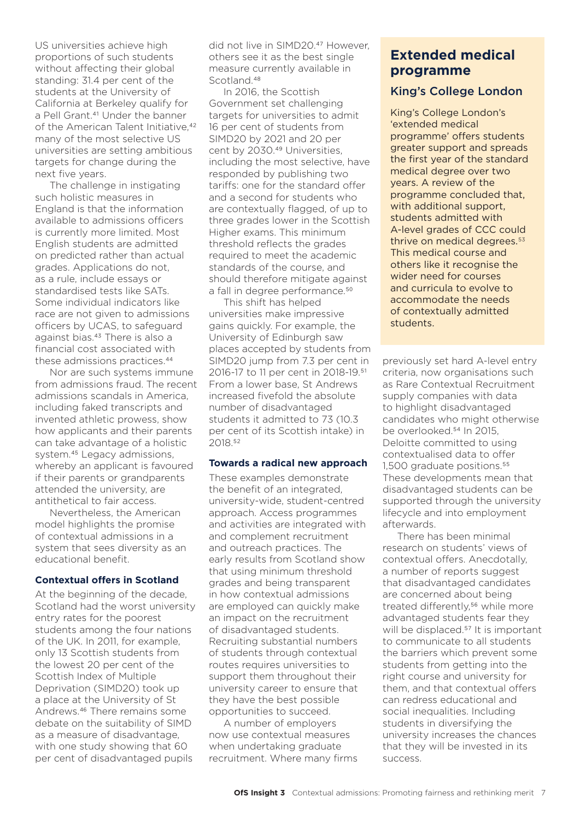US universities achieve high proportions of such students without affecting their global standing: 31.4 per cent of the students at the University of California at Berkeley qualify for a Pell Grant.<sup>41</sup> Under the banner of the American Talent Initiative,<sup>42</sup> many of the most selective US universities are setting ambitious targets for change during the next five years.

The challenge in instigating such holistic measures in England is that the information available to admissions officers is currently more limited. Most English students are admitted on predicted rather than actual grades. Applications do not, as a rule, include essays or standardised tests like SATs. Some individual indicators like race are not given to admissions officers by UCAS, to safeguard against bias.43 There is also a financial cost associated with these admissions practices.44

Nor are such systems immune from admissions fraud. The recent admissions scandals in America, including faked transcripts and invented athletic prowess, show how applicants and their parents can take advantage of a holistic system.45 Legacy admissions, whereby an applicant is favoured if their parents or grandparents attended the university, are antithetical to fair access.

Nevertheless, the American model highlights the promise of contextual admissions in a system that sees diversity as an educational benefit.

#### **Contextual offers in Scotland**

At the beginning of the decade, Scotland had the worst university entry rates for the poorest students among the four nations of the UK. In 2011, for example, only 13 Scottish students from the lowest 20 per cent of the Scottish Index of Multiple Deprivation (SIMD20) took up a place at the University of St Andrews.46 There remains some debate on the suitability of SIMD as a measure of disadvantage, with one study showing that 60 per cent of disadvantaged pupils

did not live in SIMD20.47 However, others see it as the best single measure currently available in Scotland.<sup>48</sup>

In 2016, the Scottish Government set challenging targets for universities to admit 16 per cent of students from SIMD20 by 2021 and 20 per cent by 2030.<sup>49</sup> Universities. including the most selective, have responded by publishing two tariffs: one for the standard offer and a second for students who are contextually flagged, of up to three grades lower in the Scottish Higher exams. This minimum threshold reflects the grades required to meet the academic standards of the course, and should therefore mitigate against a fall in degree performance.<sup>50</sup>

This shift has helped universities make impressive gains quickly. For example, the University of Edinburgh saw places accepted by students from SIMD20 jump from 7.3 per cent in 2016-17 to 11 per cent in 2018-19.51 From a lower base, St Andrews increased fivefold the absolute number of disadvantaged students it admitted to 73 (10.3 per cent of its Scottish intake) in 2018.52

#### **Towards a radical new approach**

These examples demonstrate the benefit of an integrated, university-wide, student-centred approach. Access programmes and activities are integrated with and complement recruitment and outreach practices. The early results from Scotland show that using minimum threshold grades and being transparent in how contextual admissions are employed can quickly make an impact on the recruitment of disadvantaged students. Recruiting substantial numbers of students through contextual routes requires universities to support them throughout their university career to ensure that they have the best possible opportunities to succeed.

A number of employers now use contextual measures when undertaking graduate recruitment. Where many firms

# **Extended medical programme**

#### King's College London

King's College London's 'extended medical programme' offers students greater support and spreads the first year of the standard medical degree over two years. A review of the programme concluded that, with additional support, students admitted with A-level grades of CCC could thrive on medical degrees.<sup>53</sup> This medical course and others like it recognise the wider need for courses and curricula to evolve to accommodate the needs of contextually admitted students.

previously set hard A-level entry criteria, now organisations such as Rare Contextual Recruitment supply companies with data to highlight disadvantaged candidates who might otherwise be overlooked.<sup>54</sup> In 2015, Deloitte committed to using contextualised data to offer 1,500 graduate positions.<sup>55</sup> These developments mean that disadvantaged students can be supported through the university lifecycle and into employment afterwards.

There has been minimal research on students' views of contextual offers. Anecdotally, a number of reports suggest that disadvantaged candidates are concerned about being treated differently,<sup>56</sup> while more advantaged students fear they will be displaced.<sup>57</sup> It is important to communicate to all students the barriers which prevent some students from getting into the right course and university for them, and that contextual offers can redress educational and social inequalities. Including students in diversifying the university increases the chances that they will be invested in its success.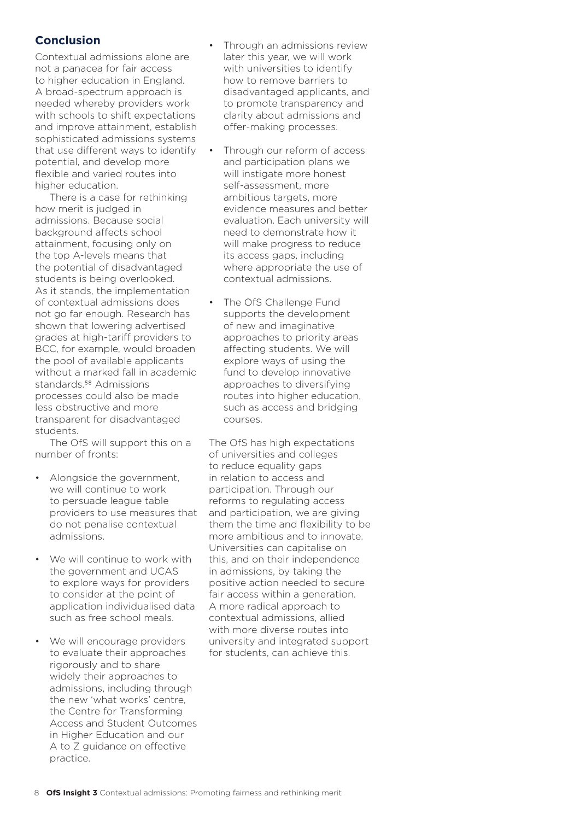### **Conclusion**

Contextual admissions alone are not a panacea for fair access to higher education in England. A broad-spectrum approach is needed whereby providers work with schools to shift expectations and improve attainment, establish sophisticated admissions systems that use different ways to identify potential, and develop more flexible and varied routes into higher education.

There is a case for rethinking how merit is judged in admissions. Because social background affects school attainment, focusing only on the top A-levels means that the potential of disadvantaged students is being overlooked. As it stands, the implementation of contextual admissions does not go far enough. Research has shown that lowering advertised grades at high-tariff providers to BCC, for example, would broaden the pool of available applicants without a marked fall in academic standards.58 Admissions processes could also be made less obstructive and more transparent for disadvantaged students.

The OfS will support this on a number of fronts:

- Alongside the government, we will continue to work to persuade league table providers to use measures that do not penalise contextual admissions.
- We will continue to work with the government and UCAS to explore ways for providers to consider at the point of application individualised data such as free school meals.
- We will encourage providers to evaluate their approaches rigorously and to share widely their approaches to admissions, including through the new 'what works' centre, the Centre for Transforming Access and Student Outcomes in Higher Education and our A to Z guidance on effective practice.
- Through an admissions review later this year, we will work with universities to identify how to remove barriers to disadvantaged applicants, and to promote transparency and clarity about admissions and offer-making processes.
- Through our reform of access and participation plans we will instigate more honest self-assessment, more ambitious targets, more evidence measures and better evaluation. Each university will need to demonstrate how it will make progress to reduce its access gaps, including where appropriate the use of contextual admissions.
- The OfS Challenge Fund supports the development of new and imaginative approaches to priority areas affecting students. We will explore ways of using the fund to develop innovative approaches to diversifying routes into higher education, such as access and bridging courses.

The OfS has high expectations of universities and colleges to reduce equality gaps in relation to access and participation. Through our reforms to regulating access and participation, we are giving them the time and flexibility to be more ambitious and to innovate. Universities can capitalise on this, and on their independence in admissions, by taking the positive action needed to secure fair access within a generation. A more radical approach to contextual admissions, allied with more diverse routes into university and integrated support for students, can achieve this.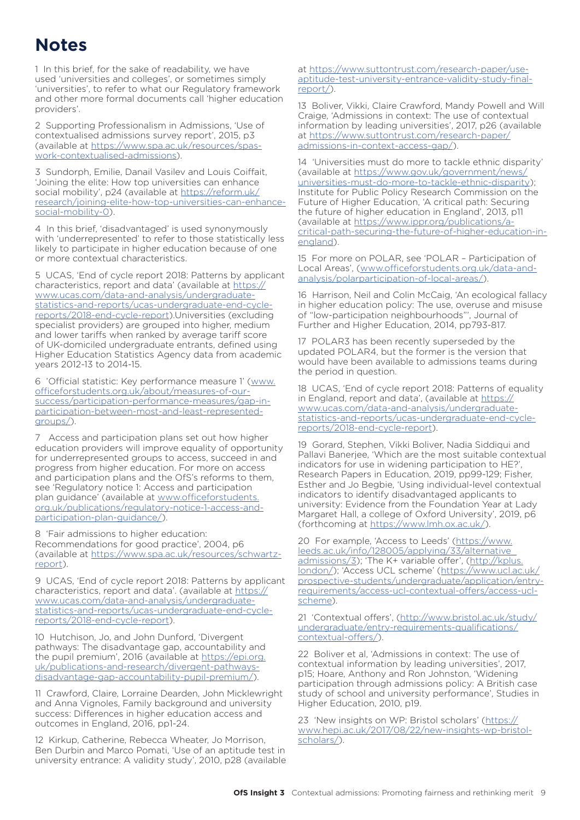# **Notes**

1 In this brief, for the sake of readability, we have used 'universities and colleges', or sometimes simply 'universities', to refer to what our Regulatory framework and other more formal documents call 'higher education providers'.

2 Supporting Professionalism in Admissions, 'Use of contextualised admissions survey report', 2015, p3 (available at [https://www.spa.ac.uk/resources/spas](https://www.spa.ac.uk/resources/spas-work-contextualised-admissions)[work-contextualised-admissions](https://www.spa.ac.uk/resources/spas-work-contextualised-admissions)).

3 Sundorph, Emilie, Danail Vasilev and Louis Coiffait, 'Joining the elite: How top universities can enhance social mobility', p24 (available at [https://reform.uk/](https://reform.uk/research/joining-elite-how-top-universities-can-enhance-social-mobility-0) [research/joining-elite-how-top-universities-can-enhance](https://reform.uk/research/joining-elite-how-top-universities-can-enhance-social-mobility-0)[social-mobility-0](https://reform.uk/research/joining-elite-how-top-universities-can-enhance-social-mobility-0)).

4 In this brief, 'disadvantaged' is used synonymously with 'underrepresented' to refer to those statistically less likely to participate in higher education because of one or more contextual characteristics.

5 UCAS, 'End of cycle report 2018: Patterns by applicant characteristics, report and data' (available at [https://](https://www.ucas.com/data-and-analysis/undergraduate-statistics-and-reports/ucas-undergraduate-end-c) [www.ucas.com/data-and-analysis/undergraduate](https://www.ucas.com/data-and-analysis/undergraduate-statistics-and-reports/ucas-undergraduate-end-c)[statistics-and-reports/ucas-undergraduate-end-cycle](https://www.ucas.com/data-and-analysis/undergraduate-statistics-and-reports/ucas-undergraduate-end-c)[reports/2018-end-cycle-report\)](https://www.ucas.com/data-and-analysis/undergraduate-statistics-and-reports/ucas-undergraduate-end-c).Universities (excluding specialist providers) are grouped into higher, medium and lower tariffs when ranked by average tariff score of UK-domiciled undergraduate entrants, defined using Higher Education Statistics Agency data from academic years 2012-13 to 2014-15.

6 'Official statistic: Key performance measure 1' ([www.](http://www.officeforstudents.org.uk/about/measures-of-our-success/participation-performance-measures/gap-in-participation-between-most-and-least-represented-groups/) [officeforstudents.org.uk/about/measures-of-our](http://www.officeforstudents.org.uk/about/measures-of-our-success/participation-performance-measures/gap-in-participation-between-most-and-least-represented-groups/)[success/participation-performance-measures/gap-in](http://www.officeforstudents.org.uk/about/measures-of-our-success/participation-performance-measures/gap-in-participation-between-most-and-least-represented-groups/)[participation-between-most-and-least-represented](http://www.officeforstudents.org.uk/about/measures-of-our-success/participation-performance-measures/gap-in-participation-between-most-and-least-represented-groups/)[groups/](http://www.officeforstudents.org.uk/about/measures-of-our-success/participation-performance-measures/gap-in-participation-between-most-and-least-represented-groups/)).

7 Access and participation plans set out how higher education providers will improve equality of opportunity for underrepresented groups to access, succeed in and progress from higher education. For more on access and participation plans and the OfS's reforms to them, see 'Regulatory notice 1: Access and participation plan guidance' (available at www.officeforstudents [org.uk/publications/regulatory-notice-1-access-and](http://www.officeforstudents.org.uk/publications/regulatory-notice-1-access-and-participation-plan-guidance/)[participation-plan-guidance/](http://www.officeforstudents.org.uk/publications/regulatory-notice-1-access-and-participation-plan-guidance/)).

8 'Fair admissions to higher education: Recommendations for good practice', 2004, p6 (available at [https://www.spa.ac.uk/resources/schwartz](https://www.spa.ac.uk/resources/schwartz-report)[report](https://www.spa.ac.uk/resources/schwartz-report)).

9 UCAS, 'End of cycle report 2018: Patterns by applicant characteristics, report and data'. (available at [https://](https://www.ucas.com/data-and-analysis/undergraduate-statistics-and-reports/ucas-undergraduate-end-c) [www.ucas.com/data-and-analysis/undergraduate](https://www.ucas.com/data-and-analysis/undergraduate-statistics-and-reports/ucas-undergraduate-end-c)[statistics-and-reports/ucas-undergraduate-end-cycle](https://www.ucas.com/data-and-analysis/undergraduate-statistics-and-reports/ucas-undergraduate-end-c)[reports/2018-end-cycle-report\)](https://www.ucas.com/data-and-analysis/undergraduate-statistics-and-reports/ucas-undergraduate-end-c).

10 Hutchison, Jo, and John Dunford, 'Divergent pathways: The disadvantage gap, accountability and the pupil premium', 2016 (available at [https://epi.org.](https://epi.org.uk/publications-and-research/divergent-pathways-disadvantage-gap-accountability-pupi) [uk/publications-and-research/divergent-pathways](https://epi.org.uk/publications-and-research/divergent-pathways-disadvantage-gap-accountability-pupi)[disadvantage-gap-accountability-pupil-premium/\)](https://epi.org.uk/publications-and-research/divergent-pathways-disadvantage-gap-accountability-pupi).

11 Crawford, Claire, Lorraine Dearden, John Micklewright and Anna Vignoles, Family background and university success: Differences in higher education access and outcomes in England, 2016, pp1-24.

12 Kirkup, Catherine, Rebecca Wheater, Jo Morrison, Ben Durbin and Marco Pomati, 'Use of an aptitude test in university entrance: A validity study', 2010, p28 (available at [https://www.suttontrust.com/research-paper/use](https://www.suttontrust.com/research-paper/use-aptitude-test-university-entrance-validity-study-fina)[aptitude-test-university-entrance-validity-study-final](https://www.suttontrust.com/research-paper/use-aptitude-test-university-entrance-validity-study-fina)[report/\)](https://www.suttontrust.com/research-paper/use-aptitude-test-university-entrance-validity-study-fina).

13 Boliver, Vikki, Claire Crawford, Mandy Powell and Will Craige, 'Admissions in context: The use of contextual information by leading universities', 2017, p26 (available at [https://www.suttontrust.com/research-paper/](https://www.suttontrust.com/research-paper/admissions-in-context-access-gap/) [admissions-in-context-access-gap/\)](https://www.suttontrust.com/research-paper/admissions-in-context-access-gap/).

14 'Universities must do more to tackle ethnic disparity' (available at [https://www.gov.uk/government/news/](https://www.gov.uk/government/news/universities-must-do-more-to-tackle-ethnic-disparity) [universities-must-do-more-to-tackle-ethnic-disparity](https://www.gov.uk/government/news/universities-must-do-more-to-tackle-ethnic-disparity)); Institute for Public Policy Research Commission on the Future of Higher Education, 'A critical path: Securing the future of higher education in England', 2013, p11 (available at [https://www.ippr.org/publications/a](https://www.ippr.org/publications/a-critical-path-securing-the-future-of-higher-education-in-england)[critical-path-securing-the-future-of-higher-education-in](https://www.ippr.org/publications/a-critical-path-securing-the-future-of-higher-education-in-england)[england](https://www.ippr.org/publications/a-critical-path-securing-the-future-of-higher-education-in-england)).

15 For more on POLAR, see 'POLAR – Participation of Local Areas', ([www.officeforstudents.org.uk/data-and](http://www.officeforstudents.org.uk/data-and-analysis/polarparticipation-of-local-areas/)[analysis/polarparticipation-of-local-areas/\)](http://www.officeforstudents.org.uk/data-and-analysis/polarparticipation-of-local-areas/).

16 Harrison, Neil and Colin McCaig, 'An ecological fallacy in higher education policy: The use, overuse and misuse of "low-participation neighbourhoods"', Journal of Further and Higher Education, 2014, pp793-817.

17 POLAR3 has been recently superseded by the updated POLAR4, but the former is the version that would have been available to admissions teams during the period in question.

18 UCAS, 'End of cycle report 2018: Patterns of equality in England, report and data', (available at [https://](https://www.ucas.com/data-and-analysis/undergraduate-statistics-and-reports/ucas-undergraduate-end-c) [www.ucas.com/data-and-analysis/undergraduate](https://www.ucas.com/data-and-analysis/undergraduate-statistics-and-reports/ucas-undergraduate-end-c)[statistics-and-reports/ucas-undergraduate-end-cycle](https://www.ucas.com/data-and-analysis/undergraduate-statistics-and-reports/ucas-undergraduate-end-c)[reports/2018-end-cycle-report\)](https://www.ucas.com/data-and-analysis/undergraduate-statistics-and-reports/ucas-undergraduate-end-c).

19 Gorard, Stephen, Vikki Boliver, Nadia Siddiqui and Pallavi Banerjee, 'Which are the most suitable contextual indicators for use in widening participation to HE?', Research Papers in Education, 2019, pp99-129; Fisher, Esther and Jo Begbie, 'Using individual-level contextual indicators to identify disadvantaged applicants to university: Evidence from the Foundation Year at Lady Margaret Hall, a college of Oxford University', 2019, p6 (forthcoming at [https://www.lmh.ox.ac.uk/\)](https://www.lmh.ox.ac.uk/).

20 For example, 'Access to Leeds' [\(https://www.](https://www.leeds.ac.uk/info/128005/applying/33/alternative_admissions/3) [leeds.ac.uk/info/128005/applying/33/alternative\\_](https://www.leeds.ac.uk/info/128005/applying/33/alternative_admissions/3) [admissions/3\)](https://www.leeds.ac.uk/info/128005/applying/33/alternative_admissions/3); 'The K+ variable offer', [\(http://kplus.](http://kplus.london/) [london/](http://kplus.london/)); 'Access UCL scheme' ([https://www.ucl.ac.uk/](https://www.ucl.ac.uk/prospective-students/undergraduate/application/entry-requirements/access-ucl-c) [prospective-students/undergraduate/application/entry](https://www.ucl.ac.uk/prospective-students/undergraduate/application/entry-requirements/access-ucl-c)[requirements/access-ucl-contextual-offers/access-ucl](https://www.ucl.ac.uk/prospective-students/undergraduate/application/entry-requirements/access-ucl-c)[scheme\)](https://www.ucl.ac.uk/prospective-students/undergraduate/application/entry-requirements/access-ucl-c).

21 'Contextual offers', ([http://www.bristol.ac.uk/study/](http://www.bristol.ac.uk/study/undergraduate/entry-requirements-qualifications/contextual-offers/) [undergraduate/entry-requirements-qualifications/](http://www.bristol.ac.uk/study/undergraduate/entry-requirements-qualifications/contextual-offers/) [contextual-offers/\)](http://www.bristol.ac.uk/study/undergraduate/entry-requirements-qualifications/contextual-offers/).

22 Boliver et al, 'Admissions in context: The use of contextual information by leading universities', 2017, p15; Hoare, Anthony and Ron Johnston, 'Widening participation through admissions policy: A British case study of school and university performance', Studies in Higher Education, 2010, p19.

23 'New insights on WP: Bristol scholars' [\(https://](https://www.hepi.ac.uk/2017/08/22/new-insights-wp-bristol-scholars/) [www.hepi.ac.uk/2017/08/22/new-insights-wp-bristol](https://www.hepi.ac.uk/2017/08/22/new-insights-wp-bristol-scholars/)[scholars/\)](https://www.hepi.ac.uk/2017/08/22/new-insights-wp-bristol-scholars/).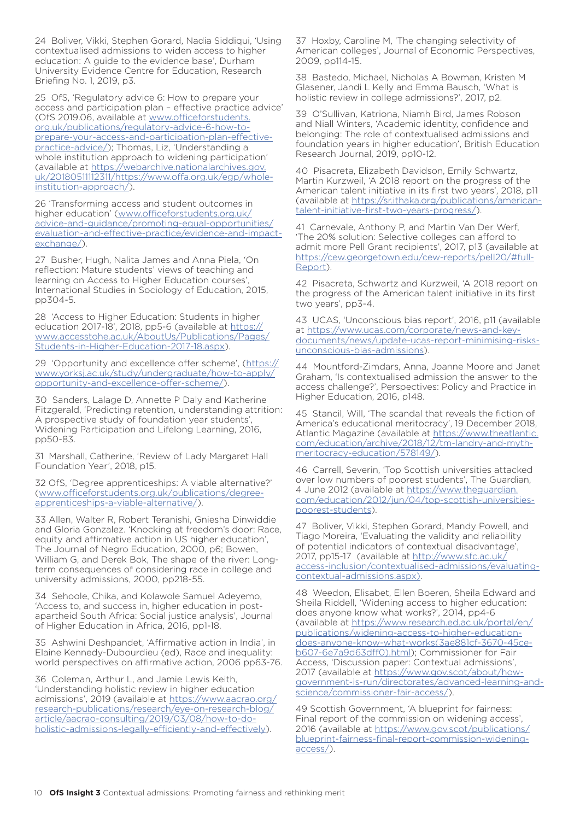24 Boliver, Vikki, Stephen Gorard, Nadia Siddiqui, 'Using contextualised admissions to widen access to higher education: A guide to the evidence base', Durham University Evidence Centre for Education, Research Briefing No. 1, 2019, p3.

25 OfS, 'Regulatory advice 6: How to prepare your access and participation plan – effective practice advice' (OfS 2019.06, available at [www.officeforstudents.](https://www.officeforstudents.org.uk/publications/regulatory-advice-6-how-to-prepare-your-access-and) [org.uk/publications/regulatory-advice-6-how-to](https://www.officeforstudents.org.uk/publications/regulatory-advice-6-how-to-prepare-your-access-and)[prepare-your-access-and-participation-plan-effective](https://www.officeforstudents.org.uk/publications/regulatory-advice-6-how-to-prepare-your-access-and)[practice-advice/](https://www.officeforstudents.org.uk/publications/regulatory-advice-6-how-to-prepare-your-access-and)); Thomas, Liz, 'Understanding a whole institution approach to widening participation' (available at [https://webarchive.nationalarchives.gov.](https://webarchive.nationalarchives.gov.uk/20180511112311/https://www.offa.org.uk/egp/whole-institut) [uk/20180511112311/https://www.offa.org.uk/egp/whole](https://webarchive.nationalarchives.gov.uk/20180511112311/https://www.offa.org.uk/egp/whole-institut)[institution-approach/](https://webarchive.nationalarchives.gov.uk/20180511112311/https://www.offa.org.uk/egp/whole-institut)).

26 'Transforming access and student outcomes in higher education' [\(www.officeforstudents.org.uk/](http://www.officeforstudents.org.uk/advice-and-guidance/promoting-equal-opportunities/evaluation-and-effective-practice/evidence-and-impact-exchange/) [advice-and-guidance/promoting-equal-opportunities/](http://www.officeforstudents.org.uk/advice-and-guidance/promoting-equal-opportunities/evaluation-and-effective-practice/evidence-and-impact-exchange/) [evaluation-and-effective-practice/evidence-and-impact](http://www.officeforstudents.org.uk/advice-and-guidance/promoting-equal-opportunities/evaluation-and-effective-practice/evidence-and-impact-exchange/)[exchange/\)](http://www.officeforstudents.org.uk/advice-and-guidance/promoting-equal-opportunities/evaluation-and-effective-practice/evidence-and-impact-exchange/).

27 Busher, Hugh, Nalita James and Anna Piela, 'On reflection: Mature students' views of teaching and learning on Access to Higher Education courses' International Studies in Sociology of Education, 2015, pp304-5.

28 'Access to Higher Education: Students in higher education 2017-18', 2018, pp5-6 (available at [https://](https://www.accesstohe.ac.uk/AboutUs/Publications/Pages/Students-in-Higher-Education-2017-18.aspx) [www.accesstohe.ac.uk/AboutUs/Publications/Pages/](https://www.accesstohe.ac.uk/AboutUs/Publications/Pages/Students-in-Higher-Education-2017-18.aspx) [Students-in-Higher-Education-2017-18.aspx\)](https://www.accesstohe.ac.uk/AboutUs/Publications/Pages/Students-in-Higher-Education-2017-18.aspx).

29 'Opportunity and excellence offer scheme', ([https://](https://www.yorksj.ac.uk/study/undergraduate/how-to-apply/opportunity-and-excellence-offer-scheme/) [www.yorksj.ac.uk/study/undergraduate/how-to-apply/](https://www.yorksj.ac.uk/study/undergraduate/how-to-apply/opportunity-and-excellence-offer-scheme/) [opportunity-and-excellence-offer-scheme/](https://www.yorksj.ac.uk/study/undergraduate/how-to-apply/opportunity-and-excellence-offer-scheme/)).

30 Sanders, Lalage D, Annette P Daly and Katherine Fitzgerald, 'Predicting retention, understanding attrition: A prospective study of foundation year students', Widening Participation and Lifelong Learning, 2016, pp50-83.

31 Marshall, Catherine, 'Review of Lady Margaret Hall Foundation Year', 2018, p15.

32 OfS, 'Degree apprenticeships: A viable alternative?' ([www.officeforstudents.org.uk/publications/degree](http://www.officeforstudents.org.uk/publications/degree-apprenticeships-a-viable-alternative/)[apprenticeships-a-viable-alternative/\)](http://www.officeforstudents.org.uk/publications/degree-apprenticeships-a-viable-alternative/).

33 Allen, Walter R, Robert Teranishi, Gniesha Dinwiddie and Gloria Gonzalez. 'Knocking at freedom's door: Race, equity and affirmative action in US higher education', The Journal of Negro Education, 2000, p6; Bowen, William G, and Derek Bok, The shape of the river: Longterm consequences of considering race in college and university admissions, 2000, pp218-55.

34 Sehoole, Chika, and Kolawole Samuel Adeyemo, 'Access to, and success in, higher education in postapartheid South Africa: Social justice analysis', Journal of Higher Education in Africa, 2016, pp1-18.

35 Ashwini Deshpandet, 'Affirmative action in India', in Elaine Kennedy-Dubourdieu (ed), Race and inequality: world perspectives on affirmative action, 2006 pp63-76.

36 Coleman, Arthur L, and Jamie Lewis Keith, 'Understanding holistic review in higher education admissions', 2019 (available at [https://www.aacrao.org/](https://www.aacrao.org/research-publications/research/eye-on-research-blog/article/aacrao-consulting/2019/03/08/how-to-do-holistic-admissions-legally-efficiently-and-effectively) [research-publications/research/eye-on-research-blog/](https://www.aacrao.org/research-publications/research/eye-on-research-blog/article/aacrao-consulting/2019/03/08/how-to-do-holistic-admissions-legally-efficiently-and-effectively) [article/aacrao-consulting/2019/03/08/how-to-do](https://www.aacrao.org/research-publications/research/eye-on-research-blog/article/aacrao-consulting/2019/03/08/how-to-do-holistic-admissions-legally-efficiently-and-effectively)[holistic-admissions-legally-efficiently-and-effectively\)](https://www.aacrao.org/research-publications/research/eye-on-research-blog/article/aacrao-consulting/2019/03/08/how-to-do-holistic-admissions-legally-efficiently-and-effectively).

37 Hoxby, Caroline M, 'The changing selectivity of American colleges', Journal of Economic Perspectives, 2009, pp114-15.

38 Bastedo, Michael, Nicholas A Bowman, Kristen M Glasener, Jandi L Kelly and Emma Bausch, 'What is holistic review in college admissions?', 2017, p2.

39 O'Sullivan, Katriona, Niamh Bird, James Robson and Niall Winters, 'Academic identity, confidence and belonging: The role of contextualised admissions and foundation years in higher education', British Education Research Journal, 2019, pp10-12.

40 Pisacreta, Elizabeth Davidson, Emily Schwartz, Martin Kurzweil, 'A 2018 report on the progress of the American talent initiative in its first two years', 2018, p11 (available at [https://sr.ithaka.org/publications/american](https://sr.ithaka.org/publications/american-talent-initiative-first-two-years-progress/)[talent-initiative-first-two-years-progress/\)](https://sr.ithaka.org/publications/american-talent-initiative-first-two-years-progress/).

41 Carnevale, Anthony P, and Martin Van Der Werf, 'The 20% solution: Selective colleges can afford to admit more Pell Grant recipients', 2017, p13 (available at [https://cew.georgetown.edu/cew-reports/pell20/#full-](https://cew.georgetown.edu/cew-reports/pell20/#full-Report)[Report\)](https://cew.georgetown.edu/cew-reports/pell20/#full-Report).

42 Pisacreta, Schwartz and Kurzweil, 'A 2018 report on the progress of the American talent initiative in its first two years', pp3-4.

43 UCAS, 'Unconscious bias report', 2016, p11 (available at [https://www.ucas.com/corporate/news-and-key](https://www.ucas.com/corporate/news-and-key-documents/news/update-ucas-report-minimising-risks-uncon)[documents/news/update-ucas-report-minimising-risks](https://www.ucas.com/corporate/news-and-key-documents/news/update-ucas-report-minimising-risks-uncon)[unconscious-bias-admissions](https://www.ucas.com/corporate/news-and-key-documents/news/update-ucas-report-minimising-risks-uncon)).

44 Mountford-Zimdars, Anna, Joanne Moore and Janet Graham, 'Is contextualised admission the answer to the access challenge?', Perspectives: Policy and Practice in Higher Education, 2016, p148.

45 Stancil, Will, 'The scandal that reveals the fiction of America's educational meritocracy', 19 December 2018, Atlantic Magazine (available at [https://www.theatlantic.](https://www.theatlantic.com/education/archive/2018/12/tm-landry-and-myth-meritocracy-education/578149/) [com/education/archive/2018/12/tm-landry-and-myth](https://www.theatlantic.com/education/archive/2018/12/tm-landry-and-myth-meritocracy-education/578149/)[meritocracy-education/578149/\)](https://www.theatlantic.com/education/archive/2018/12/tm-landry-and-myth-meritocracy-education/578149/).

46 Carrell, Severin, 'Top Scottish universities attacked over low numbers of poorest students', The Guardian, 4 June 2012 (available at [https://www.theguardian.](https://www.theguardian.com/education/2012/jun/04/top-scottish-universities-poorest-students) [com/education/2012/jun/04/top-scottish-universities](https://www.theguardian.com/education/2012/jun/04/top-scottish-universities-poorest-students)[poorest-students](https://www.theguardian.com/education/2012/jun/04/top-scottish-universities-poorest-students)).

47 Boliver, Vikki, Stephen Gorard, Mandy Powell, and Tiago Moreira, 'Evaluating the validity and reliability of potential indicators of contextual disadvantage', 2017, pp15-17 (available at [http://www.sfc.ac.uk/](http://www.sfc.ac.uk/access-inclusion/contextualised-admissions/evaluating-contextual-admissions.aspx)) [access-inclusion/contextualised-admissions/evaluating](http://www.sfc.ac.uk/access-inclusion/contextualised-admissions/evaluating-contextual-admissions.aspx))[contextual-admissions.aspx\).](http://www.sfc.ac.uk/access-inclusion/contextualised-admissions/evaluating-contextual-admissions.aspx))

48 Weedon, Elisabet, Ellen Boeren, Sheila Edward and Sheila Riddell, 'Widening access to higher education: does anyone know what works?', 2014, pp4-6 (available at [https://www.research.ed.ac.uk/portal/en/](https://www.research.ed.ac.uk/portal/en/publications/widening-access-to-higher-education-does-anyone) [publications/widening-access-to-higher-education](https://www.research.ed.ac.uk/portal/en/publications/widening-access-to-higher-education-does-anyone)[does-anyone-know-what-works\(3ae881cf-3670-45ce](https://www.research.ed.ac.uk/portal/en/publications/widening-access-to-higher-education-does-anyone)[b607-6e7a9d63dff0\).html\)](https://www.research.ed.ac.uk/portal/en/publications/widening-access-to-higher-education-does-anyone); Commissioner for Fair Access, 'Discussion paper: Contextual admissions', 2017 (available at [https://www.gov.scot/about/how](https://www.gov.scot/about/how-government-is-run/directorates/advanced-learning-and-science/commissi)[government-is-run/directorates/advanced-learning-and](https://www.gov.scot/about/how-government-is-run/directorates/advanced-learning-and-science/commissi)[science/commissioner-fair-access/](https://www.gov.scot/about/how-government-is-run/directorates/advanced-learning-and-science/commissi)).

49 Scottish Government, 'A blueprint for fairness: Final report of the commission on widening access', 2016 (available at [https://www.gov.scot/publications/](https://www.gov.scot/publications/blueprint-fairness-final-report-commission-widening-access/) [blueprint-fairness-final-report-commission-widening](https://www.gov.scot/publications/blueprint-fairness-final-report-commission-widening-access/)[access/](https://www.gov.scot/publications/blueprint-fairness-final-report-commission-widening-access/)).